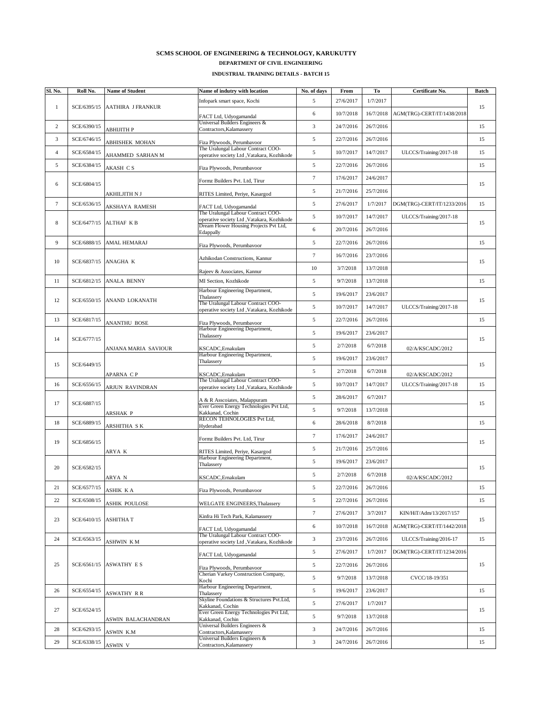| Sl. No.        | Roll No.    | <b>Name of Student</b>                            | Name of indutry with location                                                         | No. of days    | From      | To        | <b>Certificate No.</b>     | <b>Batch</b> |
|----------------|-------------|---------------------------------------------------|---------------------------------------------------------------------------------------|----------------|-----------|-----------|----------------------------|--------------|
|                |             | SCE/6395/15 AATHIRA J FRANKUR                     | Infopark smart space, Kochi                                                           | 5              | 27/6/2017 | 1/7/2017  |                            | 15           |
|                |             |                                                   | FACT Ltd, Udyogamandal                                                                | 6              | 10/7/2018 | 16/7/2018 | AGM(TRG)-CERT/IT/1438/2018 |              |
| $\overline{2}$ | SCE/6390/15 | АВНІЈІТН Р                                        | Universal Builders Engineers &<br>Contractors, Kalamassery                            | 3              | 24/7/2016 | 26/7/2016 |                            | 15           |
| 3              | SCE/6746/15 | <b>ABHISHEK MOHAN</b>                             | Fiza Plywoods, Perumbavoor                                                            | $\overline{5}$ | 22/7/2016 | 26/7/2016 |                            | 15           |
| 4              | SCE/6584/15 | <b>AHAMMED SARHAN M</b>                           | The Uralungal Labour Contract COO-<br>operative society Ltd , Vatakara, Kozhikode     | 5              | 10/7/2017 | 14/7/2017 | ULCCS/Training/2017-18     | 15           |
| 5              | SCE/6384/15 |                                                   |                                                                                       | 5              | 22/7/2016 | 26/7/2016 |                            | 15           |
|                |             | <b>AKASH CS</b>                                   | Fiza Plywoods, Perumbavoor                                                            | $\overline{7}$ | 17/6/2017 | 24/6/2017 |                            |              |
| 6              | SCE/6804/15 |                                                   | Formz Builders Pvt. Ltd, Tirur                                                        | 5              | 21/7/2016 | 25/7/2016 |                            | 15           |
| $\tau$         | SCE/6536/15 | <b>AKHILJITH N J</b>                              | RITES Limited, Periye, Kasargod                                                       | $\overline{5}$ | 27/6/2017 | 1/7/2017  | DGM(TRG)-CERT/IT/1233/2016 | 15           |
|                |             | <b>AKSHAYA RAMESH</b><br>SCE/6477/15 ALTHAF $K B$ | FACT Ltd, Udyogamandal<br>The Uralungal Labour Contract COO-                          |                | 10/7/2017 | 14/7/2017 |                            | 15           |
| 8              |             |                                                   | operative society Ltd , Vatakara, Kozhikode<br>Dream Flower Housing Projects Pvt Ltd, | $\overline{5}$ |           |           | ULCCS/Training/2017-18     |              |
|                |             |                                                   | Edappally                                                                             | 6              | 20/7/2016 | 26/7/2016 |                            |              |
| 9              | SCE/6888/15 | <b>AMAL HEMARAJ</b>                               | Fiza Plywoods, Perumbavoor                                                            | 5              | 22/7/2016 | 26/7/2016 |                            | 15           |
| 10             |             | SCE/6837/15 ANAGHA K                              | Azhikodan Constructions, Kannur                                                       | $\overline{7}$ | 16/7/2016 | 23/7/2016 |                            | 15           |
|                |             |                                                   | Rajeev & Associates, Kannur                                                           | 10             | 3/7/2018  | 13/7/2018 |                            |              |
| 11             |             | SCE/6812/15 ANALA BENNY                           | MI Section, Kozhikode                                                                 | $\overline{5}$ | 9/7/2018  | 13/7/2018 |                            | 15           |
| 12             |             | SCE/6550/15 ANAND LOKANATH                        | Harbour Engineering Department,<br>Thalassery                                         | 5              | 19/6/2017 | 23/6/2017 |                            | 15           |
|                |             |                                                   | The Uralungal Labour Contract COO-<br>operative society Ltd , Vatakara, Kozhikode     | $\overline{5}$ | 10/7/2017 | 14/7/2017 | ULCCS/Training/2017-18     |              |
| 13             | SCE/6817/15 | <b>ANANTHU BOSE</b>                               | Fiza Plywoods, Perumbavoor                                                            | $\overline{5}$ | 22/7/2016 | 26/7/2016 |                            | 15           |
|                | SCE/6777/15 |                                                   | Harbour Engineering Department,<br>Thalassery                                         | $\overline{5}$ | 19/6/2017 | 23/6/2017 |                            | 15           |
| 14             |             | ANJANA MARIA SAVIOUR                              | KSCADC, Ernakulam                                                                     | 5              | 2/7/2018  | 6/7/2018  | 02/A/KSCADC/2012           |              |
|                | SCE/6449/15 |                                                   | Harbour Engineering Department,<br>Thalassery                                         | 5              | 19/6/2017 | 23/6/2017 |                            | 15           |
| 15             |             | APARNA CP                                         | KSCADC, Ernakulam                                                                     | $\overline{5}$ | 2/7/2018  | 6/7/2018  | 02/A/KSCADC/2012           |              |
| 16             | SCE/6556/15 |                                                   | The Uralungal Labour Contract COO-                                                    | 5              | 10/7/2017 | 14/7/2017 | ULCCS/Training/2017-18     | 15           |
|                |             | <b>ARJUN RAVINDRAN</b>                            | operative society Ltd , Vatakara, Kozhikode                                           | $\overline{5}$ | 28/6/2017 | 6/7/2017  |                            |              |
| 17             | SCE/6887/15 |                                                   | A & R Asscoiates, Malappuram<br>Ever Green Energy Technologies Pvt Ltd,               | $\mathfrak{S}$ | 9/7/2018  | 13/7/2018 |                            | 15           |
| 18             | SCE/6889/15 | <b>ARSHAK P</b>                                   | Kakkanad, Cochin<br>RECON TEHNOLOGIES Pvt Ltd,                                        | 6              | 28/6/2018 | 8/7/2018  |                            | 15           |
|                |             | <b>ARSHITHA SK</b>                                | Hyderabad                                                                             | $\overline{7}$ | 17/6/2017 | 24/6/2017 |                            |              |
| 19             | SCE/6856/15 |                                                   | Formz Builders Pvt. Ltd, Tirur                                                        |                |           |           |                            | 15           |
|                |             | ARYA K                                            | RITES Limited, Periye, Kasargod<br>Harbour Engineering Department,                    | 5              | 21/7/2016 | 25/7/2016 |                            |              |
| 20             | SCE/6582/15 |                                                   | Thalassery                                                                            | $\overline{5}$ | 19/6/2017 | 23/6/2017 |                            | 15           |
|                |             | <b>ARYA N</b>                                     | KSCADC, Ernakulam                                                                     | $\overline{5}$ | 2/7/2018  | 6/7/2018  | 02/A/KSCADC/2012           |              |
| 21             | SCE/6577/15 | <b>ASHIK KA</b>                                   | Fiza Plywoods, Perumbavoor                                                            | 5              | 22/7/2016 | 26/7/2016 |                            | 15           |
| 22             | SCE/6508/15 | <b>ASHIK POULOSE</b>                              | WELGATE ENGINEERS, Thalassery                                                         | 5              | 22/7/2016 | 26/7/2016 |                            | 15           |
| 23             |             | $SCE/6410/15$ ASHITHAT                            | Kinfra Hi Tech Park, Kalamassery                                                      | $\overline{7}$ | 27/6/2017 | 3/7/2017  | KIN/HiT/Adm/13/2017/157    | 15           |
|                |             |                                                   | FACT Ltd, Udyogamandal                                                                | 6              | 10/7/2018 | 16/7/2018 | AGM(TRG)-CERT/IT/1442/2018 |              |
| 24             | SCE/6563/15 | <b>ASHWIN KM</b>                                  | The Uralungal Labour Contract COO-<br>operative society Ltd , Vatakara, Kozhikode     | 3              | 23/7/2016 | 26/7/2016 | ULCCS/Training/2016-17     | 15           |
|                |             | $SCE/6561/15$ ASWATHY ES                          | FACT Ltd, Udyogamandal                                                                | 5              | 27/6/2017 | 1/7/2017  | DGM(TRG)-CERT/IT/1234/2016 |              |
| 25             |             |                                                   | Fiza Plywoods, Perumbavoor<br><b>Cherian Varkey Construction Company,</b><br>Kochi    | $\overline{5}$ | 22/7/2016 | 26/7/2016 |                            | 15           |
|                |             |                                                   |                                                                                       | $\overline{5}$ | 9/7/2018  | 13/7/2018 | CVCC/18-19/351             |              |
| 26             | SCE/6554/15 | <b>ASWATHY RR</b>                                 | Harbour Engineering Department,<br>Thalassery                                         | 5              | 19/6/2017 | 23/6/2017 |                            | 15           |
|                |             |                                                   | Skyline Foundations & Structures Pvt.Ltd,<br>Kakkanad, Cochin                         | 5              | 27/6/2017 | 1/7/2017  |                            |              |
| 27             | SCE/6524/15 |                                                   | Ever Green Energy Technologies Pvt Ltd,<br>Kakkanad, Cochin                           | $\overline{5}$ | 9/7/2018  | 13/7/2018 |                            | 15           |
| 28             | SCE/6293/15 | <b>ASWIN BALACHANDRAN</b>                         | Universal Builders Engineers &                                                        | 3              | 24/7/2016 | 26/7/2016 |                            | 15           |
| 29             | SCE/6338/15 | <b>ASWIN K.M</b>                                  | Contractors, Kalamassery<br>Universal Builders Engineers &                            | 3              | 24/7/2016 | 26/7/2016 |                            | 15           |
|                |             | ASWIN V                                           | Contractors, Kalamassery                                                              |                |           |           |                            |              |

## **INDUSTRIAL TRAINING DETAILS - BATCH 15**

## **SCMS SCHOOL OF ENGINEERING & TECHNOLOGY, KARUKUTTY DEPARTMENT OF CIVIL ENGINEERING**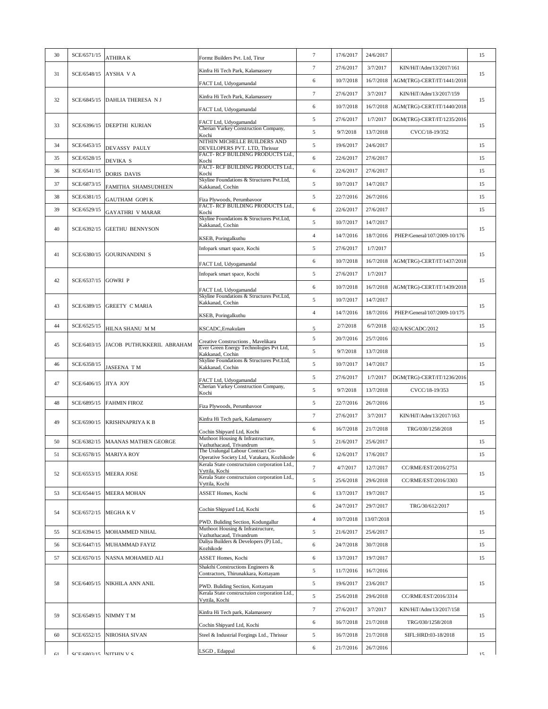| 30 | SCE/6571/15                    | <b>ATHIRAK</b>                                | Formz Builders Pvt. Ltd, Tirur                                                  | $\overline{7}$  | 17/6/2017 | 24/6/2017      |                                        | 15 |
|----|--------------------------------|-----------------------------------------------|---------------------------------------------------------------------------------|-----------------|-----------|----------------|----------------------------------------|----|
|    |                                | SCE/6548/15 AYSHA V A                         | Kinfra Hi Tech Park, Kalamassery                                                | $7\phantom{.0}$ | 27/6/2017 | 3/7/2017       | KIN/HiT/Adm/13/2017/161                | 15 |
| 31 |                                |                                               | FACT Ltd, Udyogamandal                                                          | 6               | 10/7/2018 | 16/7/2018      | AGM(TRG)-CERT/IT/1441/2018             |    |
|    |                                | SCE/6845/15 DAHLIA THERESA NJ                 | Kinfra Hi Tech Park, Kalamassery                                                | 7               | 27/6/2017 | 3/7/2017       | KIN/HiT/Adm/13/2017/159                |    |
| 32 |                                |                                               | FACT Ltd, Udyogamandal                                                          | 6               | 10/7/2018 | 16/7/2018      | AGM(TRG)-CERT/IT/1440/2018             | 15 |
|    |                                |                                               | FACT Ltd, Udyogamandal                                                          | 5               | 27/6/2017 | 1/7/2017       | DGM(TRG)-CERT/IT/1235/2016             |    |
| 33 | SCE/6396/15  DEEPTHI KURIAN    | Cherian Varkey Construction Company,<br>Kochi | 5                                                                               | 9/7/2018        | 13/7/2018 | CVCC/18-19/352 | 15                                     |    |
| 34 | SCE/6453/15                    | DEVASSY PAULY                                 | NITHIN MICHELLE BUILDERS AND<br>DEVELOPERS PVT. LTD, Thrissur                   | 5               | 19/6/2017 | 24/6/2017      |                                        | 15 |
| 35 | SCE/6528/15                    | <b>DEVIKA S</b>                               | FACT-RCF BUILDING PRODUCTS Ltd.,<br>Kochi                                       | 6               | 22/6/2017 | 27/6/2017      |                                        | 15 |
| 36 | SCE/6541/15                    | DORIS DAVIS                                   | FACT- RCF BUILDING PRODUCTS Ltd.,                                               | 6               | 22/6/2017 | 27/6/2017      |                                        | 15 |
| 37 | SCE/6873/15                    |                                               | Kochi<br>Skyline Foundations & Structures Pvt.Ltd,                              | 5               | 10/7/2017 | 14/7/2017      |                                        | 15 |
| 38 | SCE/6381/15                    | <b>FAMITHA SHAMSUDHEEN</b>                    | Kakkanad, Cochin                                                                | 5               | 22/7/2016 | 26/7/2016      |                                        | 15 |
| 39 | SCE/6529/15                    | <b>GAUTHAM GOPIK</b>                          | Fiza Plywoods, Perumbavoor<br>FACT- RCF BUILDING PRODUCTS Ltd.,                 | 6               | 22/6/2017 | 27/6/2017      |                                        | 15 |
|    |                                | GAYATHRI V MARAR                              | Kochi<br>Skyline Foundations & Structures Pvt.Ltd,                              | 5               | 10/7/2017 | 14/7/2017      |                                        |    |
| 40 |                                | SCE/6392/15 GEETHU BENNYSON                   | Kakkanad, Cochin                                                                | $\overline{4}$  | 14/7/2016 | 18/7/2016      | PHEP/General/107/2009-10/176           | 15 |
|    |                                |                                               | KSEB, Poringalkuthu<br>Infopark smart space, Kochi                              | $\mathfrak{S}$  | 27/6/2017 | 1/7/2017       |                                        |    |
| 41 |                                | SCE/6380/15 GOURINANDINI S                    |                                                                                 |                 | 10/7/2018 |                | 16/7/2018   AGM(TRG)-CERT/IT/1437/2018 | 15 |
|    |                                |                                               | FACT Ltd, Udyogamandal                                                          | 6               |           |                |                                        |    |
| 42 | $SCE/6537/15$ GOWRI P          |                                               | Infopark smart space, Kochi                                                     | 5               | 27/6/2017 | 1/7/2017       |                                        | 15 |
|    |                                |                                               | FACT Ltd, Udyogamandal<br>Skyline Foundations & Structures Pvt.Ltd,             | 6               | 10/7/2018 | 16/7/2018      | AGM(TRG)-CERT/IT/1439/2018             |    |
| 43 |                                | SCE/6389/15 GREETY C MARIA                    | Kakkanad, Cochin                                                                | 5               | 10/7/2017 | 14/7/2017      |                                        | 15 |
|    |                                |                                               | KSEB, Poringalkuthu                                                             | $\overline{4}$  | 14/7/2016 | 18/7/2016      | PHEP/General/107/2009-10/175           |    |
| 44 | SCE/6525/15                    | HILNA SHANU MM                                | KSCADC, Ernakulam                                                               | 5               | 2/7/2018  | 6/7/2018       | 02/A/KSCADC/2012                       | 15 |
| 45 |                                | SCE/6403/15 JACOB PUTHUKKERIL ABRAHAM         | Creative Constructions, Mavelikara<br>Ever Green Energy Technologies Pvt Ltd,   | 5               | 20/7/2016 | 25/7/2016      |                                        | 15 |
|    |                                |                                               | Kakkanad, Cochin<br>Skyline Foundations & Structures Pvt.Ltd,                   | 5               | 9/7/2018  | 13/7/2018      |                                        |    |
| 46 | SCE/6358/15                    | <b>JASEENA TM</b>                             | Kakkanad, Cochin                                                                | 5               | 10/7/2017 | 14/7/2017      |                                        | 15 |
| 47 | SCE/6406/15 JIYA JOY           |                                               | FACT Ltd, Udyogamandal<br>Cherian Varkey Construction Company,                  | 5               | 27/6/2017 | 1/7/2017       | DGM(TRG)-CERT/IT/1236/2016             | 15 |
|    |                                |                                               | Kochi                                                                           | 5               | 9/7/2018  | 13/7/2018      | CVCC/18-19/353                         |    |
| 48 |                                | SCE/6895/15 FAHMIN FIROZ                      | Fiza Plywoods, Perumbavoor                                                      | 5               | 22/7/2016 | 26/7/2016      |                                        | 15 |
| 49 | SCE/6590/15                    | <b>KRISHNAPRIYA K B</b>                       | Kinfra Hi Tech park, Kalamassery                                                | 7               | 27/6/2017 | 3/7/2017       | KIN/HiT/Adm/13/2017/163                | 15 |
|    |                                |                                               | Cochin Shipyard Ltd, Kochi                                                      | 6               | 16/7/2018 | 21/7/2018      | TRG/030/1258/2018                      |    |
| 50 |                                | SCE/6382/15  MAANAS MATHEN GEORGE             | Muthoot Housing & Infrastructure,<br>Vazhuthacaud, Trivandrum                   | 5               | 21/6/2017 | 25/6/2017      |                                        | 15 |
| 51 |                                | SCE/6578/15 MARIYA ROY                        | The Uralungal Labour Contract Co-<br>Operative Society Ltd, Vatakara, Kozhikode | 6               | 12/6/2017 | 17/6/2017      |                                        | 15 |
| 52 |                                | SCE/6553/15  MEERA JOSE                       | Kerala State constructuion corporation Ltd.,<br>Vyttila, Kochi                  | $\overline{7}$  | 4/7/2017  | 12/7/2017      | CC/RME/EST/2016/2751                   | 15 |
|    |                                |                                               | Kerala State constructuion corporation Ltd.,<br>Vyttila, Kochi                  | 5               | 25/6/2018 | 29/6/2018      | CC/RME/EST/2016/3303                   |    |
| 53 | SCE/6544/15                    | <b>MEERA MOHAN</b>                            | <b>ASSET Homes, Kochi</b>                                                       | 6               | 13/7/2017 | 19/7/2017      |                                        | 15 |
|    |                                |                                               | Cochin Shipyard Ltd, Kochi                                                      | 6               | 24/7/2017 | 29/7/2017      | TRG/30/612/2017                        |    |
| 54 |                                | SCE/6572/15 MEGHA K V                         | PWD. Buliding Section, Kodungallur                                              | $\overline{4}$  | 10/7/2018 | 13/07/2018     |                                        | 15 |
| 55 | SCE/6394/15                    | MOHAMMED NIHAL                                | Muthoot Housing & Infrastructure,<br>Vazhuthacaud, Trivandrum                   | 5               | 21/6/2017 | 25/6/2017      |                                        | 15 |
| 56 |                                | SCE/6447/15 MUHAMMAD FAYIZ                    | Daliya Builders & Developers (P) Ltd.,<br>Kozhikode                             | 6               | 24/7/2018 | 30/7/2018      |                                        | 15 |
| 57 | SCE/6570/15                    | NASNA MOHAMED ALI                             | <b>ASSET Homes, Kochi</b>                                                       | 6               | 13/7/2017 | 19/7/2017      |                                        | 15 |
|    |                                | SCE/6405/15 NIKHILA ANN ANIL                  | Shakthi Constructions Engineers &<br>Contractors, Thirunakkara, Kottayam        | 5               | 11/7/2016 | 16/7/2016      |                                        |    |
| 58 |                                |                                               | PWD. Buliding Section, Kottayam                                                 | 5               | 19/6/2017 | 23/6/2017      |                                        | 15 |
|    |                                |                                               | Kerala State constructuion corporation Ltd.,                                    | 5               | 25/6/2018 | 29/6/2018      | CC/RME/EST/2016/3314                   |    |
|    |                                |                                               | Vyttila, Kochi                                                                  | 7               | 27/6/2017 | 3/7/2017       | KIN/HiT/Adm/13/2017/158                |    |
| 59 | $SCE/6549/15$ NIMMY TM         |                                               | Kinfra Hi Tech park, Kalamassery                                                | 6               | 16/7/2018 | 21/7/2018      | TRG/030/1258/2018                      | 15 |
| 60 |                                | SCE/6552/15 NIROSHA SIVAN                     | Cochin Shipyard Ltd, Kochi<br>Steel & Industrial Forgings Ltd., Thrissur        | 5               | 16/7/2018 | 21/7/2018      | SIFL:HRD:03-18/2018                    | 15 |
|    |                                |                                               |                                                                                 | 6               | 21/7/2016 | 26/7/2016      |                                        |    |
| 61 | $\int$ SCE/6803/15 INITHIN V S |                                               | LSGD, Edappal                                                                   |                 |           |                |                                        | 15 |